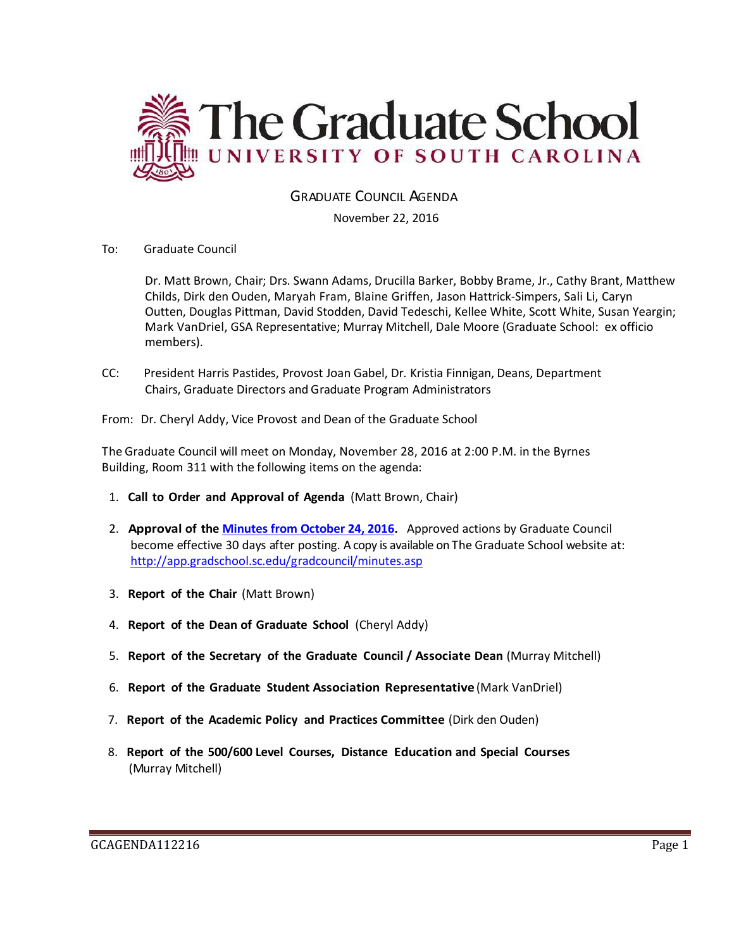

GRADUATE COUNCIL AGENDA

November 22, 2016

To: Graduate Council

Dr. Matt Brown, Chair; Drs. Swann Adams, Drucilla Barker, Bobby Brame, Jr., Cathy Brant, Matthew Childs, Dirk den Ouden, Maryah Fram, Blaine Griffen, Jason Hattrick-Simpers, Sali Li, Caryn Outten, Douglas Pittman, David Stodden, David Tedeschi, Kellee White, Scott White, Susan Yeargin; Mark VanDriel, GSA Representative; Murray Mitchell, Dale Moore (Graduate School: ex officio members).

CC: President Harris Pastides, Provost Joan Gabel, Dr. Kristia Finnigan, Deans, Department Chairs, Graduate Directors and Graduate Program Administrators

From: Dr. Cheryl Addy, Vice Provost and Dean of the Graduate School

The Graduate Council will meet on Monday, November 28, 2016 at 2:00 P.M. in the Byrnes Building, Room 311 with the following items on the agenda:

- 1. **Call to Order and Approval of Agenda** (Matt Brown, Chair)
- 2. **Approval of the [Minutes from October 24, 2016.](http://gradschool.sc.edu/facstaff/gradcouncil/2016/GCMINUTESOCT242016%20w%20attachment.pdf)** Approved actions by Graduate Council become effective 30 days after posting. A copy is available on The Graduate School website at: <http://app.gradschool.sc.edu/gradcouncil/minutes.asp>
- 3. **Report of the Chair** (Matt Brown)
- 4. **Report of the Dean of Graduate School** (Cheryl Addy)
- 5. **Report of the Secretary of the Graduate Council / Associate Dean** (Murray Mitchell)
- 6. **Report of the Graduate Student Association Representative** (Mark VanDriel)
- 7. **Report of the Academic Policy and Practices Committee** (Dirk den Ouden)
- 8. **Report of the 500/600 Level Courses, Distance Education and Special Courses** (Murray Mitchell)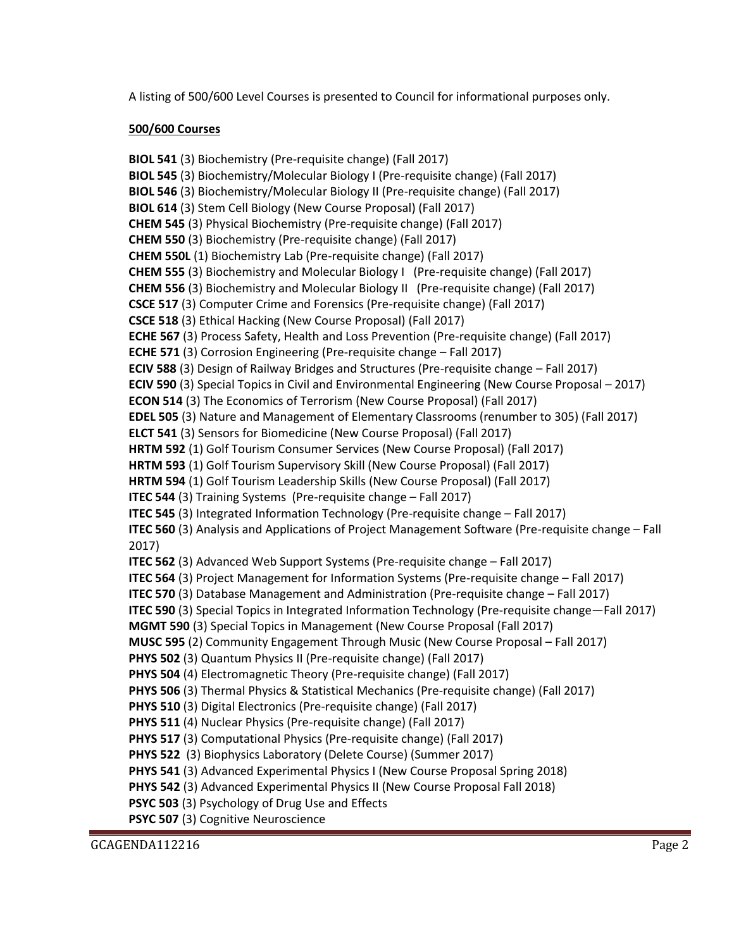A listing of 500/600 Level Courses is presented to Council for informational purposes only.

## **500/600 Courses**

**BIOL 541** (3) Biochemistry (Pre-requisite change) (Fall 2017) **BIOL 545** (3) Biochemistry/Molecular Biology I (Pre-requisite change) (Fall 2017) **BIOL 546** (3) Biochemistry/Molecular Biology II (Pre-requisite change) (Fall 2017) **BIOL 614** (3) Stem Cell Biology (New Course Proposal) (Fall 2017) **CHEM 545** (3) Physical Biochemistry (Pre-requisite change) (Fall 2017) **CHEM 550** (3) Biochemistry (Pre-requisite change) (Fall 2017) **CHEM 550L** (1) Biochemistry Lab (Pre-requisite change) (Fall 2017) **CHEM 555** (3) Biochemistry and Molecular Biology I (Pre-requisite change) (Fall 2017) **CHEM 556** (3) Biochemistry and Molecular Biology II (Pre-requisite change) (Fall 2017) **CSCE 517** (3) Computer Crime and Forensics (Pre-requisite change) (Fall 2017) **CSCE 518** (3) Ethical Hacking (New Course Proposal) (Fall 2017) **ECHE 567** (3) Process Safety, Health and Loss Prevention (Pre-requisite change) (Fall 2017) **ECHE 571** (3) Corrosion Engineering (Pre-requisite change – Fall 2017) **ECIV 588** (3) Design of Railway Bridges and Structures (Pre-requisite change – Fall 2017) **ECIV 590** (3) Special Topics in Civil and Environmental Engineering (New Course Proposal – 2017) **ECON 514** (3) The Economics of Terrorism (New Course Proposal) (Fall 2017) **EDEL 505** (3) Nature and Management of Elementary Classrooms (renumber to 305) (Fall 2017) **ELCT 541** (3) Sensors for Biomedicine (New Course Proposal) (Fall 2017) **HRTM 592** (1) Golf Tourism Consumer Services (New Course Proposal) (Fall 2017) **HRTM 593** (1) Golf Tourism Supervisory Skill (New Course Proposal) (Fall 2017) **HRTM 594** (1) Golf Tourism Leadership Skills (New Course Proposal) (Fall 2017) **ITEC 544** (3) Training Systems (Pre-requisite change – Fall 2017) **ITEC 545** (3) Integrated Information Technology (Pre-requisite change – Fall 2017) **ITEC 560** (3) Analysis and Applications of Project Management Software (Pre-requisite change – Fall 2017) **ITEC 562** (3) Advanced Web Support Systems (Pre-requisite change – Fall 2017) **ITEC 564** (3) Project Management for Information Systems (Pre-requisite change – Fall 2017) **ITEC 570** (3) Database Management and Administration (Pre-requisite change – Fall 2017) **ITEC 590** (3) Special Topics in Integrated Information Technology (Pre-requisite change—Fall 2017) **MGMT 590** (3) Special Topics in Management (New Course Proposal (Fall 2017) **MUSC 595** (2) Community Engagement Through Music (New Course Proposal – Fall 2017) **PHYS 502** (3) Quantum Physics II (Pre-requisite change) (Fall 2017) **PHYS 504** (4) Electromagnetic Theory (Pre-requisite change) (Fall 2017) **PHYS 506** (3) Thermal Physics & Statistical Mechanics (Pre-requisite change) (Fall 2017) **PHYS 510** (3) Digital Electronics (Pre-requisite change) (Fall 2017) **PHYS 511** (4) Nuclear Physics (Pre-requisite change) (Fall 2017) **PHYS 517** (3) Computational Physics (Pre-requisite change) (Fall 2017) **PHYS 522** (3) Biophysics Laboratory (Delete Course) (Summer 2017) **PHYS 541** (3) Advanced Experimental Physics I (New Course Proposal Spring 2018) **PHYS 542** (3) Advanced Experimental Physics II (New Course Proposal Fall 2018) **PSYC 503** (3) Psychology of Drug Use and Effects **PSYC 507** (3) Cognitive Neuroscience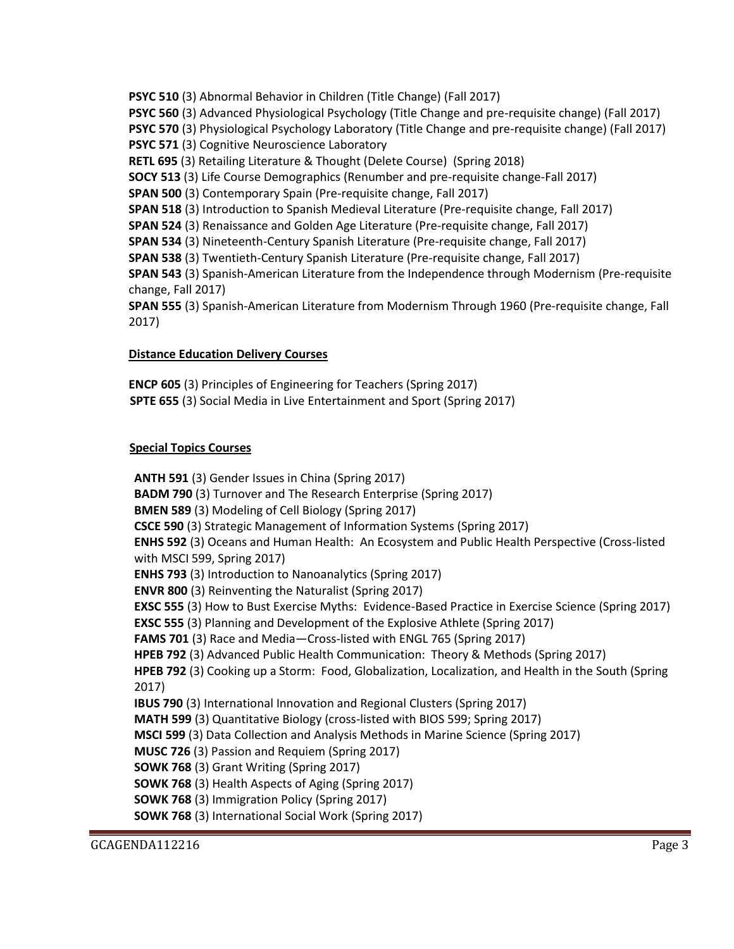**PSYC 510** (3) Abnormal Behavior in Children (Title Change) (Fall 2017) **PSYC 560** (3) Advanced Physiological Psychology (Title Change and pre-requisite change) (Fall 2017) **PSYC 570** (3) Physiological Psychology Laboratory (Title Change and pre-requisite change) (Fall 2017) **PSYC 571** (3) Cognitive Neuroscience Laboratory **RETL 695** (3) Retailing Literature & Thought (Delete Course) (Spring 2018) **SOCY 513** (3) Life Course Demographics (Renumber and pre-requisite change-Fall 2017) **SPAN 500** (3) Contemporary Spain (Pre-requisite change, Fall 2017) **SPAN 518** (3) Introduction to Spanish Medieval Literature (Pre-requisite change, Fall 2017) **SPAN 524** (3) Renaissance and Golden Age Literature (Pre-requisite change, Fall 2017) **SPAN 534** (3) Nineteenth-Century Spanish Literature (Pre-requisite change, Fall 2017) **SPAN 538** (3) Twentieth-Century Spanish Literature (Pre-requisite change, Fall 2017) **SPAN 543** (3) Spanish-American Literature from the Independence through Modernism (Pre-requisite change, Fall 2017) **SPAN 555** (3) Spanish-American Literature from Modernism Through 1960 (Pre-requisite change, Fall 2017)

### **Distance Education Delivery Courses**

**ENCP 605** (3) Principles of Engineering for Teachers (Spring 2017)  **SPTE 655** (3) Social Media in Live Entertainment and Sport (Spring 2017)

# **Special Topics Courses**

**ANTH 591** (3) Gender Issues in China (Spring 2017) **BADM 790** (3) Turnover and The Research Enterprise (Spring 2017) **BMEN 589** (3) Modeling of Cell Biology (Spring 2017) **CSCE 590** (3) Strategic Management of Information Systems (Spring 2017) **ENHS 592** (3) Oceans and Human Health: An Ecosystem and Public Health Perspective (Cross-listed with MSCI 599, Spring 2017) **ENHS 793** (3) Introduction to Nanoanalytics (Spring 2017) **ENVR 800** (3) Reinventing the Naturalist (Spring 2017) **EXSC 555** (3) How to Bust Exercise Myths: Evidence-Based Practice in Exercise Science (Spring 2017) **EXSC 555** (3) Planning and Development of the Explosive Athlete (Spring 2017) **FAMS 701** (3) Race and Media—Cross-listed with ENGL 765 (Spring 2017) **HPEB 792** (3) Advanced Public Health Communication: Theory & Methods (Spring 2017) **HPEB 792** (3) Cooking up a Storm: Food, Globalization, Localization, and Health in the South (Spring 2017) **IBUS 790** (3) International Innovation and Regional Clusters (Spring 2017) **MATH 599** (3) Quantitative Biology (cross-listed with BIOS 599; Spring 2017) **MSCI 599** (3) Data Collection and Analysis Methods in Marine Science (Spring 2017) **MUSC 726** (3) Passion and Requiem (Spring 2017) **SOWK 768** (3) Grant Writing (Spring 2017) **SOWK 768** (3) Health Aspects of Aging (Spring 2017) **SOWK 768** (3) Immigration Policy (Spring 2017) **SOWK 768** (3) International Social Work (Spring 2017)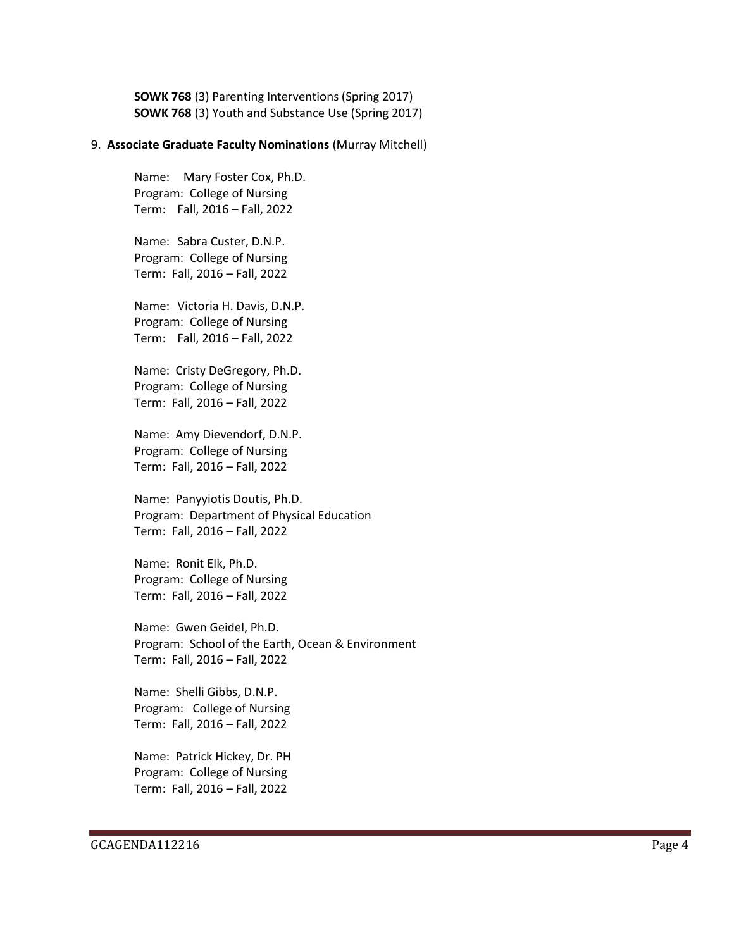**SOWK 768** (3) Parenting Interventions (Spring 2017) **SOWK 768** (3) Youth and Substance Use (Spring 2017)

#### 9. **Associate Graduate Faculty Nominations** (Murray Mitchell)

Name: Mary Foster Cox, Ph.D. Program: College of Nursing Term: Fall, 2016 – Fall, 2022

Name: Sabra Custer, D.N.P. Program: College of Nursing Term: Fall, 2016 – Fall, 2022

Name: Victoria H. Davis, D.N.P. Program: College of Nursing Term: Fall, 2016 – Fall, 2022

Name: Cristy DeGregory, Ph.D. Program: College of Nursing Term: Fall, 2016 – Fall, 2022

Name: Amy Dievendorf, D.N.P. Program: College of Nursing Term: Fall, 2016 – Fall, 2022

Name: Panyyiotis Doutis, Ph.D. Program: Department of Physical Education Term: Fall, 2016 – Fall, 2022

Name: Ronit Elk, Ph.D. Program: College of Nursing Term: Fall, 2016 – Fall, 2022

Name: Gwen Geidel, Ph.D. Program: School of the Earth, Ocean & Environment Term: Fall, 2016 – Fall, 2022

Name: Shelli Gibbs, D.N.P. Program: College of Nursing Term: Fall, 2016 – Fall, 2022

Name: Patrick Hickey, Dr. PH Program: College of Nursing Term: Fall, 2016 – Fall, 2022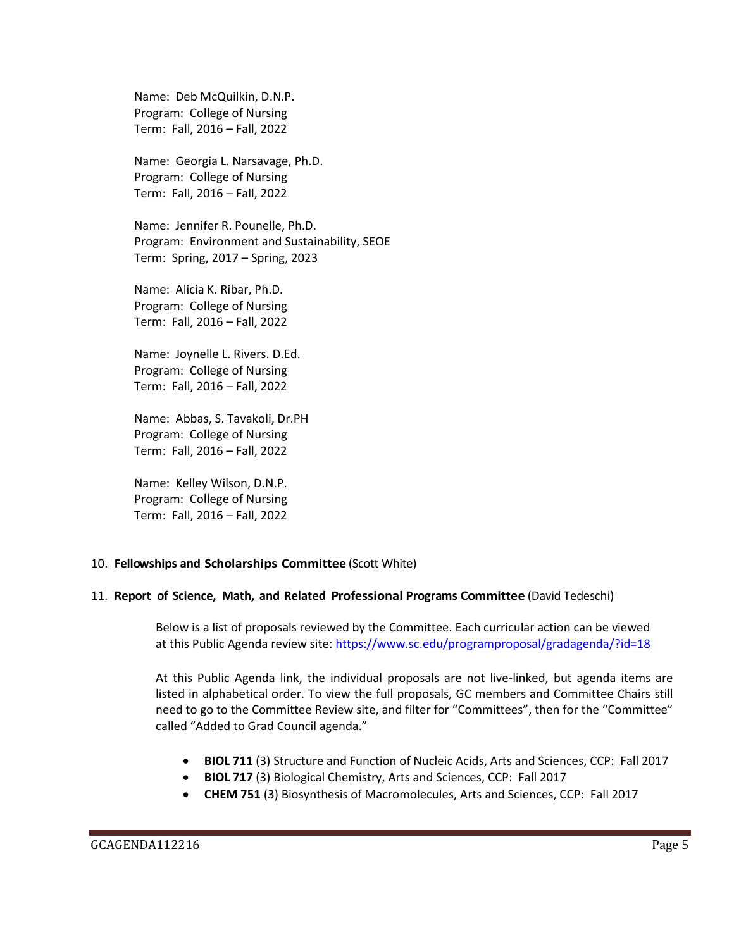Name: Deb McQuilkin, D.N.P. Program: College of Nursing Term: Fall, 2016 – Fall, 2022

Name: Georgia L. Narsavage, Ph.D. Program: College of Nursing Term: Fall, 2016 – Fall, 2022

Name: Jennifer R. Pounelle, Ph.D. Program: Environment and Sustainability, SEOE Term: Spring, 2017 – Spring, 2023

Name: Alicia K. Ribar, Ph.D. Program: College of Nursing Term: Fall, 2016 – Fall, 2022

Name: Joynelle L. Rivers. D.Ed. Program: College of Nursing Term: Fall, 2016 – Fall, 2022

Name: Abbas, S. Tavakoli, Dr.PH Program: College of Nursing Term: Fall, 2016 – Fall, 2022

Name: Kelley Wilson, D.N.P. Program: College of Nursing Term: Fall, 2016 – Fall, 2022

### 10. **Fellowships and Scholarships Committee** (Scott White)

### 11. **Report of Science, Math, and Related Professional Programs Committee** (David Tedeschi)

Below is a list of proposals reviewed by the Committee. Each curricular action can be viewed at this Public Agenda review site:<https://www.sc.edu/programproposal/gradagenda/?id=18>

At this Public Agenda link, the individual proposals are not live-linked, but agenda items are listed in alphabetical order. To view the full proposals, GC members and Committee Chairs still need to go to the Committee Review site, and filter for "Committees", then for the "Committee" called "Added to Grad Council agenda."

- **BIOL 711** (3) Structure and Function of Nucleic Acids, Arts and Sciences, CCP: Fall 2017
- **BIOL 717** (3) Biological Chemistry, Arts and Sciences, CCP: Fall 2017
- **CHEM 751** (3) Biosynthesis of Macromolecules, Arts and Sciences, CCP: Fall 2017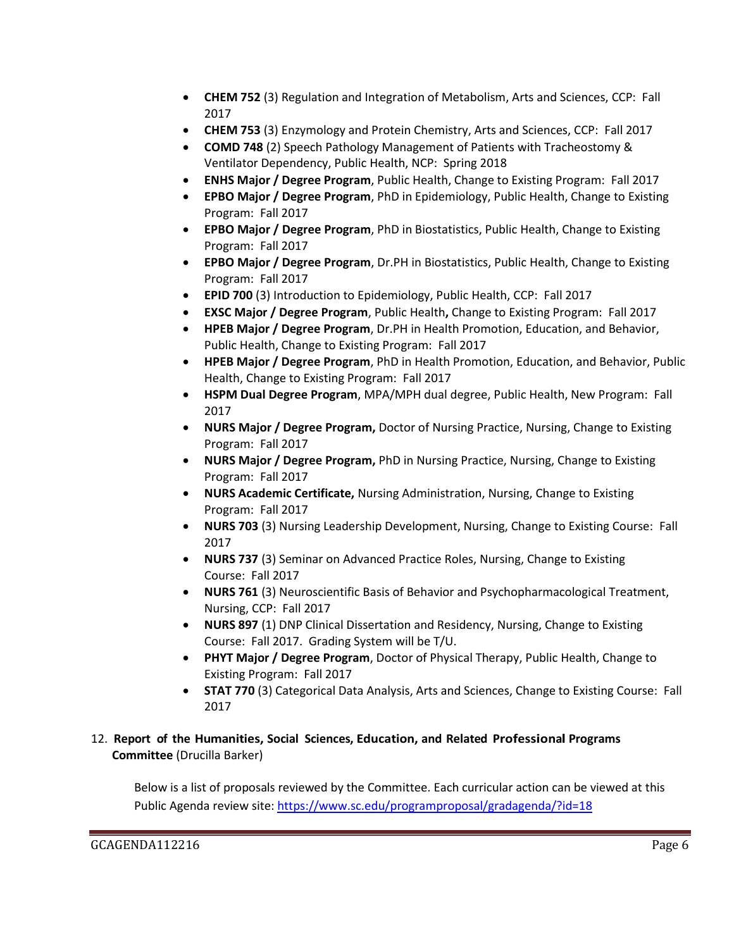- **CHEM 752** (3) Regulation and Integration of Metabolism, Arts and Sciences, CCP: Fall 2017
- **CHEM 753** (3) Enzymology and Protein Chemistry, Arts and Sciences, CCP: Fall 2017
- **COMD 748** (2) Speech Pathology Management of Patients with Tracheostomy & Ventilator Dependency, Public Health, NCP: Spring 2018
- **ENHS Major / Degree Program**, Public Health, Change to Existing Program: Fall 2017
- **EPBO Major / Degree Program**, PhD in Epidemiology, Public Health, Change to Existing Program: Fall 2017
- **EPBO Major / Degree Program**, PhD in Biostatistics, Public Health, Change to Existing Program: Fall 2017
- **EPBO Major / Degree Program**, Dr.PH in Biostatistics, Public Health, Change to Existing Program: Fall 2017
- **EPID 700** (3) Introduction to Epidemiology, Public Health, CCP: Fall 2017
- **EXSC Major / Degree Program**, Public Health**,** Change to Existing Program: Fall 2017
- **HPEB Major / Degree Program**, Dr.PH in Health Promotion, Education, and Behavior, Public Health, Change to Existing Program: Fall 2017
- **HPEB Major / Degree Program**, PhD in Health Promotion, Education, and Behavior, Public Health, Change to Existing Program: Fall 2017
- **HSPM Dual Degree Program**, MPA/MPH dual degree, Public Health, New Program: Fall 2017
- **NURS Major / Degree Program,** Doctor of Nursing Practice, Nursing, Change to Existing Program: Fall 2017
- **NURS Major / Degree Program,** PhD in Nursing Practice, Nursing, Change to Existing Program: Fall 2017
- **NURS Academic Certificate,** Nursing Administration, Nursing, Change to Existing Program: Fall 2017
- **NURS 703** (3) Nursing Leadership Development, Nursing, Change to Existing Course: Fall 2017
- **NURS 737** (3) Seminar on Advanced Practice Roles, Nursing, Change to Existing Course: Fall 2017
- **NURS 761** (3) Neuroscientific Basis of Behavior and Psychopharmacological Treatment, Nursing, CCP: Fall 2017
- **NURS 897** (1) DNP Clinical Dissertation and Residency, Nursing, Change to Existing Course: Fall 2017. Grading System will be T/U.
- **PHYT Major / Degree Program**, Doctor of Physical Therapy, Public Health, Change to Existing Program: Fall 2017
- **STAT 770** (3) Categorical Data Analysis, Arts and Sciences, Change to Existing Course: Fall 2017

# 12. **Report of the Humanities, Social Sciences, Education, and Related Professional Programs Committee** (Drucilla Barker)

Below is a list of proposals reviewed by the Committee. Each curricular action can be viewed at this Public Agenda review site:<https://www.sc.edu/programproposal/gradagenda/?id=18>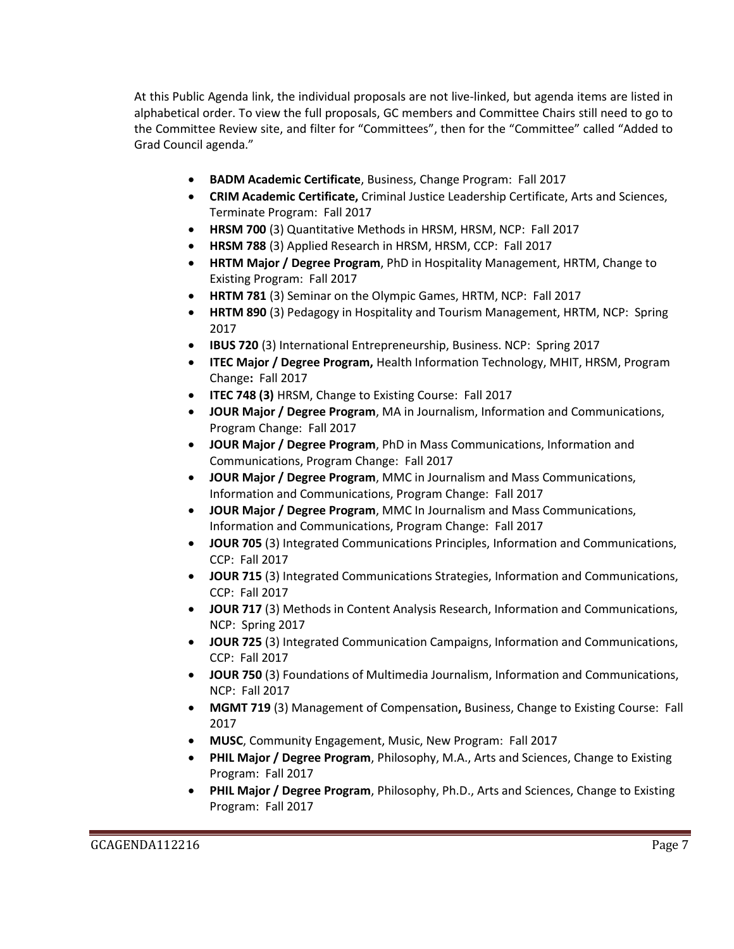At this Public Agenda link, the individual proposals are not live-linked, but agenda items are listed in alphabetical order. To view the full proposals, GC members and Committee Chairs still need to go to the Committee Review site, and filter for "Committees", then for the "Committee" called "Added to Grad Council agenda."

- **BADM Academic Certificate**, Business, Change Program: Fall 2017
- **CRIM Academic Certificate,** Criminal Justice Leadership Certificate, Arts and Sciences, Terminate Program: Fall 2017
- **HRSM 700** (3) Quantitative Methods in HRSM, HRSM, NCP: Fall 2017
- **HRSM 788** (3) Applied Research in HRSM, HRSM, CCP: Fall 2017
- **HRTM Major / Degree Program**, PhD in Hospitality Management, HRTM, Change to Existing Program: Fall 2017
- **HRTM 781** (3) Seminar on the Olympic Games, HRTM, NCP: Fall 2017
- **HRTM 890** (3) Pedagogy in Hospitality and Tourism Management, HRTM, NCP: Spring 2017
- **IBUS 720** (3) International Entrepreneurship, Business. NCP: Spring 2017
- **ITEC Major / Degree Program,** Health Information Technology, MHIT, HRSM, Program Change**:** Fall 2017
- **ITEC 748 (3)** HRSM, Change to Existing Course: Fall 2017
- **JOUR Major / Degree Program**, MA in Journalism, Information and Communications, Program Change: Fall 2017
- **JOUR Major / Degree Program**, PhD in Mass Communications, Information and Communications, Program Change: Fall 2017
- **JOUR Major / Degree Program**, MMC in Journalism and Mass Communications, Information and Communications, Program Change: Fall 2017
- **JOUR Major / Degree Program**, MMC In Journalism and Mass Communications, Information and Communications, Program Change: Fall 2017
- **JOUR 705** (3) Integrated Communications Principles, Information and Communications, CCP: Fall 2017
- **JOUR 715** (3) Integrated Communications Strategies, Information and Communications, CCP: Fall 2017
- **JOUR 717** (3) Methods in Content Analysis Research, Information and Communications, NCP: Spring 2017
- **JOUR 725** (3) Integrated Communication Campaigns, Information and Communications, CCP: Fall 2017
- **JOUR 750** (3) Foundations of Multimedia Journalism, Information and Communications, NCP: Fall 2017
- **MGMT 719** (3) Management of Compensation**,** Business, Change to Existing Course: Fall 2017
- **MUSC**, Community Engagement, Music, New Program: Fall 2017
- **PHIL Major / Degree Program**, Philosophy, M.A., Arts and Sciences, Change to Existing Program: Fall 2017
- **PHIL Major / Degree Program**, Philosophy, Ph.D., Arts and Sciences, Change to Existing Program: Fall 2017